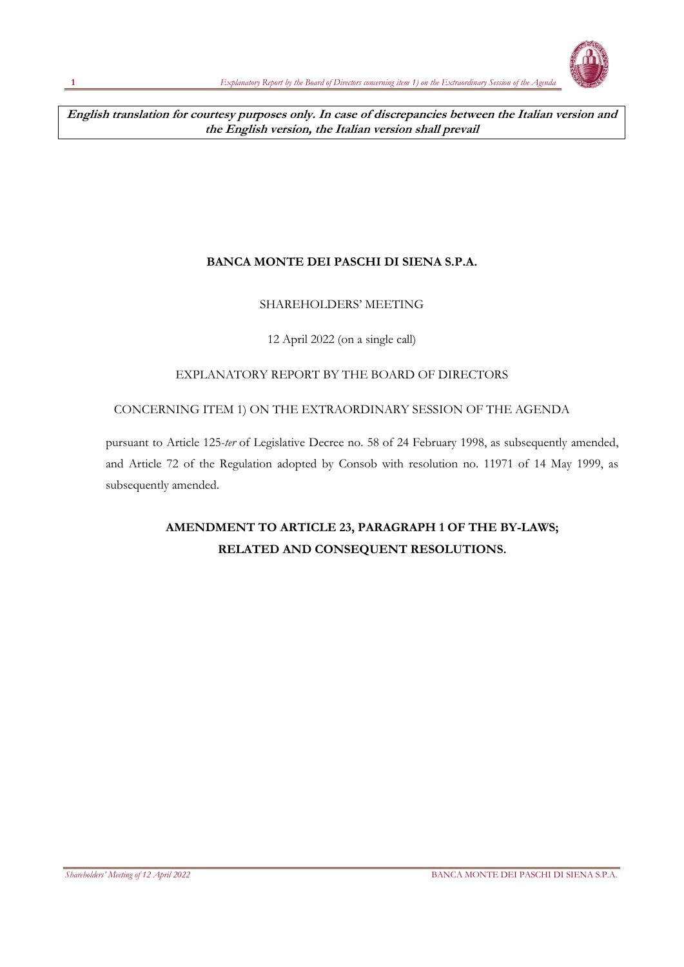**English translation for courtesy purposes only. In case of discrepancies between the Italian version and the English version, the Italian version shall prevail**

## **BANCA MONTE DEI PASCHI DI SIENA S.P.A.**

## SHAREHOLDERS' MEETING

12 April 2022 (on a single call)

## EXPLANATORY REPORT BY THE BOARD OF DIRECTORS

## CONCERNING ITEM 1) ON THE EXTRAORDINARY SESSION OF THE AGENDA

pursuant to Article 125-*ter* of Legislative Decree no. 58 of 24 February 1998, as subsequently amended, and Article 72 of the Regulation adopted by Consob with resolution no. 11971 of 14 May 1999, as subsequently amended.

## **AMENDMENT TO ARTICLE 23, PARAGRAPH 1 OF THE BY-LAWS; RELATED AND CONSEQUENT RESOLUTIONS.**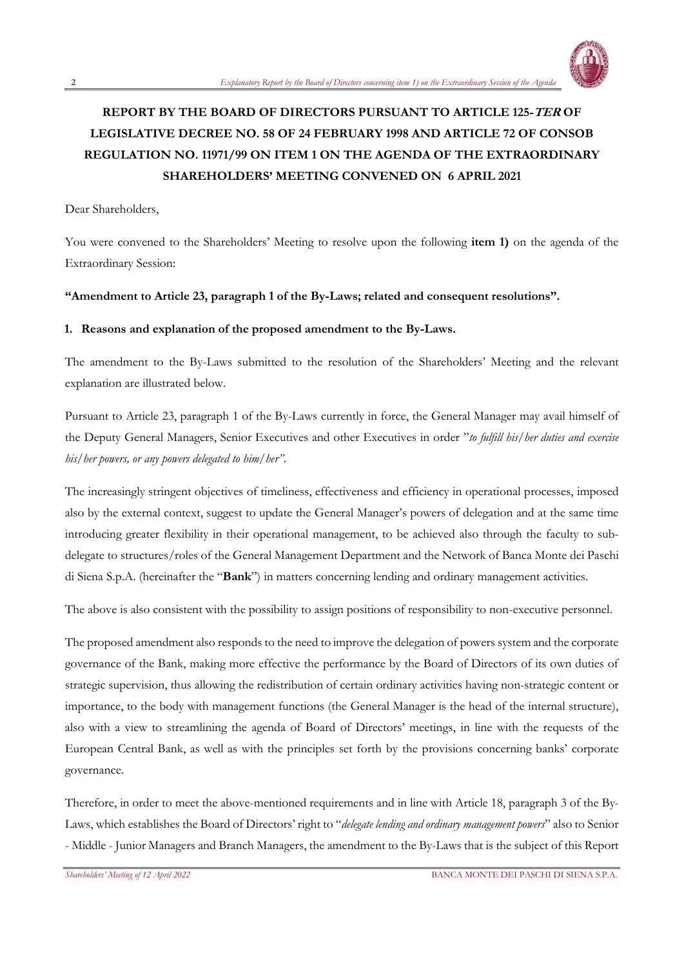

# **REPORT BY THE BOARD OF DIRECTORS PURSUANT TO ARTICLE 125-TER OF LEGISLATIVE DECREE NO. 58 OF 24 FEBRUARY 1998 AND ARTICLE 72 OF CONSOB REGULATION NO. 11971/99 ON ITEM 1 ON THE AGENDA OF THE EXTRAORDINARY SHAREHOLDERS' MEETING CONVENED ON 6 APRIL 2021**

Dear Shareholders,

You were convened to the Shareholders' Meeting to resolve upon the following **item 1)** on the agenda of the Extraordinary Session:

#### **"Amendment to Article 23, paragraph 1 of the By-Laws; related and consequent resolutions".**

#### **1. Reasons and explanation of the proposed amendment to the By-Laws.**

The amendment to the By-Laws submitted to the resolution of the Shareholders' Meeting and the relevant explanation are illustrated below.

Pursuant to Article 23, paragraph 1 of the By-Laws currently in force, the General Manager may avail himself of the Deputy General Managers, Senior Executives and other Executives in order "*to fulfill his/her duties and exercise his/her powers, or any powers delegated to him/her"*.

The increasingly stringent objectives of timeliness, effectiveness and efficiency in operational processes, imposed also by the external context, suggest to update the General Manager's powers of delegation and at the same time introducing greater flexibility in their operational management, to be achieved also through the faculty to subdelegate to structures/roles of the General Management Department and the Network of Banca Monte dei Paschi di Siena S.p.A. (hereinafter the "**Bank**") in matters concerning lending and ordinary management activities.

The above is also consistent with the possibility to assign positions of responsibility to non-executive personnel.

The proposed amendment also responds to the need to improve the delegation of powers system and the corporate governance of the Bank, making more effective the performance by the Board of Directors of its own duties of strategic supervision, thus allowing the redistribution of certain ordinary activities having non-strategic content or importance, to the body with management functions (the General Manager is the head of the internal structure), also with a view to streamlining the agenda of Board of Directors' meetings, in line with the requests of the European Central Bank, as well as with the principles set forth by the provisions concerning banks' corporate governance.

Therefore, in order to meet the above-mentioned requirements and in line with Article 18, paragraph 3 of the By-Laws, which establishes the Board of Directors' right to "*delegate lending and ordinary management powers*" also to Senior - Middle - Junior Managers and Branch Managers, the amendment to the By-Laws that is the subject of this Report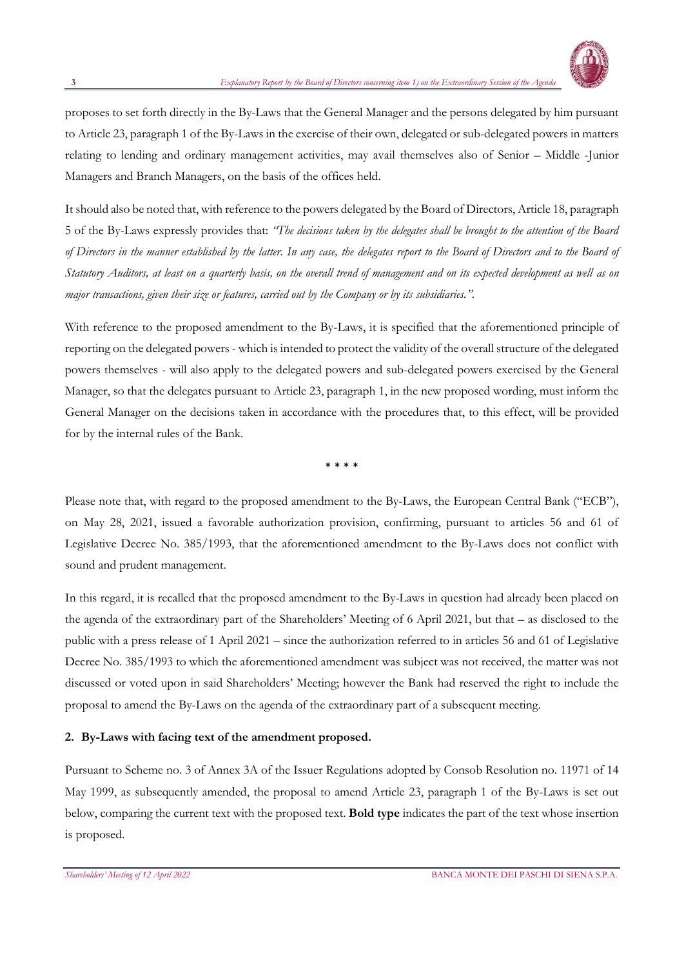

proposes to set forth directly in the By-Laws that the General Manager and the persons delegated by him pursuant to Article 23, paragraph 1 of the By-Laws in the exercise of their own, delegated or sub-delegated powers in matters relating to lending and ordinary management activities, may avail themselves also of Senior – Middle -Junior Managers and Branch Managers, on the basis of the offices held.

It should also be noted that, with reference to the powers delegated by the Board of Directors, Article 18, paragraph 5 of the By-Laws expressly provides that: *"The decisions taken by the delegates shall be brought to the attention of the Board of Directors in the manner established by the latter. In any case, the delegates report to the Board of Directors and to the Board of Statutory Auditors, at least on a quarterly basis, on the overall trend of management and on its expected development as well as on major transactions, given their size or features, carried out by the Company or by its subsidiaries."*.

With reference to the proposed amendment to the By-Laws, it is specified that the aforementioned principle of reporting on the delegated powers - which is intended to protect the validity of the overall structure of the delegated powers themselves - will also apply to the delegated powers and sub-delegated powers exercised by the General Manager, so that the delegates pursuant to Article 23, paragraph 1, in the new proposed wording, must inform the General Manager on the decisions taken in accordance with the procedures that, to this effect, will be provided for by the internal rules of the Bank.

\* \* \* \*

Please note that, with regard to the proposed amendment to the By-Laws, the European Central Bank ("ECB"), on May 28, 2021, issued a favorable authorization provision, confirming, pursuant to articles 56 and 61 of Legislative Decree No. 385/1993, that the aforementioned amendment to the By-Laws does not conflict with sound and prudent management.

In this regard, it is recalled that the proposed amendment to the By-Laws in question had already been placed on the agenda of the extraordinary part of the Shareholders' Meeting of 6 April 2021, but that – as disclosed to the public with a press release of 1 April 2021 – since the authorization referred to in articles 56 and 61 of Legislative Decree No. 385/1993 to which the aforementioned amendment was subject was not received, the matter was not discussed or voted upon in said Shareholders' Meeting; however the Bank had reserved the right to include the proposal to amend the By-Laws on the agenda of the extraordinary part of a subsequent meeting.

#### **2. By-Laws with facing text of the amendment proposed.**

Pursuant to Scheme no. 3 of Annex 3A of the Issuer Regulations adopted by Consob Resolution no. 11971 of 14 May 1999, as subsequently amended, the proposal to amend Article 23, paragraph 1 of the By-Laws is set out below, comparing the current text with the proposed text. **Bold type** indicates the part of the text whose insertion is proposed.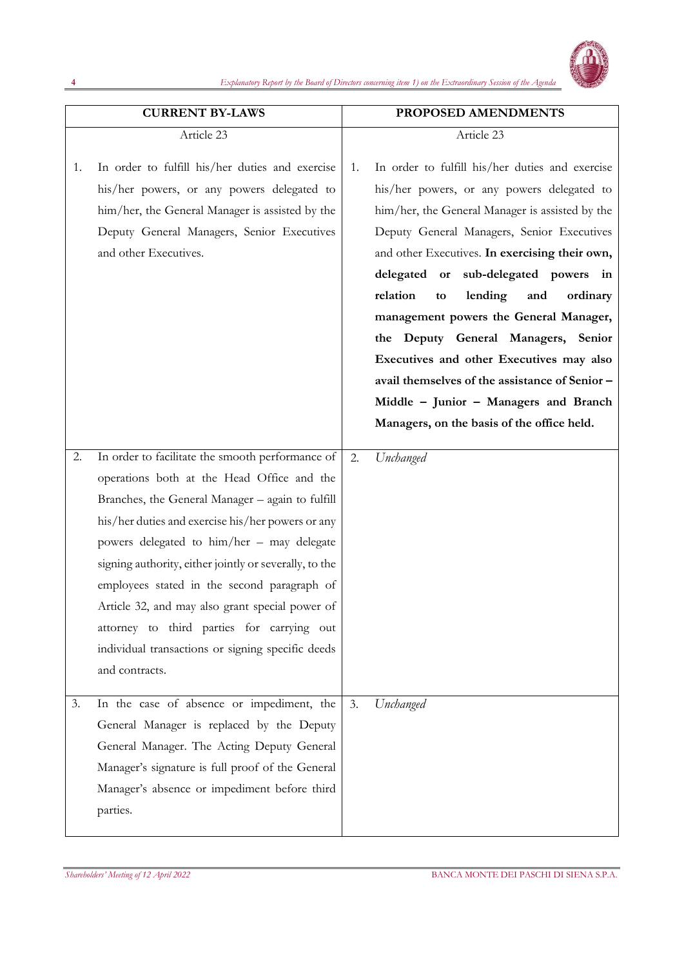

|    | <b>CURRENT BY-LAWS</b>                                                                                                                                                                                                                                                                                                                                                                                                                                                                                                                 |    | PROPOSED AMENDMENTS                                                                                                                                                                                                                                                                                                                                                                                                                                                                                                                                                                                            |
|----|----------------------------------------------------------------------------------------------------------------------------------------------------------------------------------------------------------------------------------------------------------------------------------------------------------------------------------------------------------------------------------------------------------------------------------------------------------------------------------------------------------------------------------------|----|----------------------------------------------------------------------------------------------------------------------------------------------------------------------------------------------------------------------------------------------------------------------------------------------------------------------------------------------------------------------------------------------------------------------------------------------------------------------------------------------------------------------------------------------------------------------------------------------------------------|
|    | Article 23                                                                                                                                                                                                                                                                                                                                                                                                                                                                                                                             |    | Article 23                                                                                                                                                                                                                                                                                                                                                                                                                                                                                                                                                                                                     |
| 1. | In order to fulfill his/her duties and exercise<br>his/her powers, or any powers delegated to<br>him/her, the General Manager is assisted by the<br>Deputy General Managers, Senior Executives<br>and other Executives.                                                                                                                                                                                                                                                                                                                | 1. | In order to fulfill his/her duties and exercise<br>his/her powers, or any powers delegated to<br>him/her, the General Manager is assisted by the<br>Deputy General Managers, Senior Executives<br>and other Executives. In exercising their own,<br>delegated or sub-delegated powers in<br>relation<br>lending<br>ordinary<br>and<br>to<br>management powers the General Manager,<br>the Deputy General Managers, Senior<br>Executives and other Executives may also<br>avail themselves of the assistance of Senior -<br>Middle - Junior - Managers and Branch<br>Managers, on the basis of the office held. |
| 2. | In order to facilitate the smooth performance of<br>operations both at the Head Office and the<br>Branches, the General Manager - again to fulfill<br>his/her duties and exercise his/her powers or any<br>powers delegated to him/her – may delegate<br>signing authority, either jointly or severally, to the<br>employees stated in the second paragraph of<br>Article 32, and may also grant special power of<br>attorney to third parties for carrying out<br>individual transactions or signing specific deeds<br>and contracts. | 2. | Unchanged                                                                                                                                                                                                                                                                                                                                                                                                                                                                                                                                                                                                      |
| 3. | In the case of absence or impediment, the<br>General Manager is replaced by the Deputy<br>General Manager. The Acting Deputy General<br>Manager's signature is full proof of the General<br>Manager's absence or impediment before third<br>parties.                                                                                                                                                                                                                                                                                   | 3. | Unchanged                                                                                                                                                                                                                                                                                                                                                                                                                                                                                                                                                                                                      |

**4**